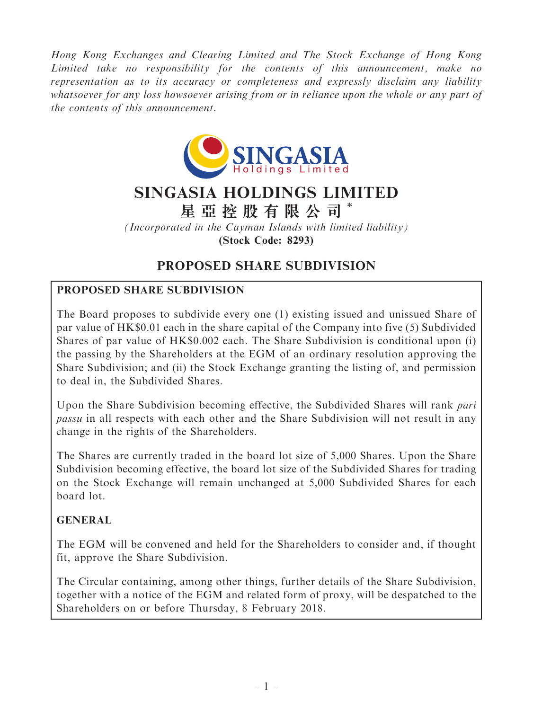Hong Kong Exchanges and Clearing Limited and The Stock Exchange of Hong Kong Limited take no responsibility for the contents of this announcement, make no representation as to its accuracy or completeness and expressly disclaim any liability whatsoever for any loss howsoever arising from or in reliance upon the whole or any part of the contents of this announcement.



# SINGASIA HOLDINGS LIMITED

星 亞 控 股 有 限 公 司 \*

(Incorporated in the Cayman Islands with limited liability) (Stock Code: 8293)

# PROPOSED SHARE SUBDIVISION

# PROPOSED SHARE SUBDIVISION

The Board proposes to subdivide every one (1) existing issued and unissued Share of par value of HK\$0.01 each in the share capital of the Company into five (5) Subdivided Shares of par value of HK\$0.002 each. The Share Subdivision is conditional upon (i) the passing by the Shareholders at the EGM of an ordinary resolution approving the Share Subdivision; and (ii) the Stock Exchange granting the listing of, and permission to deal in, the Subdivided Shares.

Upon the Share Subdivision becoming effective, the Subdivided Shares will rank pari passu in all respects with each other and the Share Subdivision will not result in any change in the rights of the Shareholders.

The Shares are currently traded in the board lot size of 5,000 Shares. Upon the Share Subdivision becoming effective, the board lot size of the Subdivided Shares for trading on the Stock Exchange will remain unchanged at 5,000 Subdivided Shares for each board lot.

# GENERAL

The EGM will be convened and held for the Shareholders to consider and, if thought fit, approve the Share Subdivision.

The Circular containing, among other things, further details of the Share Subdivision, together with a notice of the EGM and related form of proxy, will be despatched to the Shareholders on or before Thursday, 8 February 2018.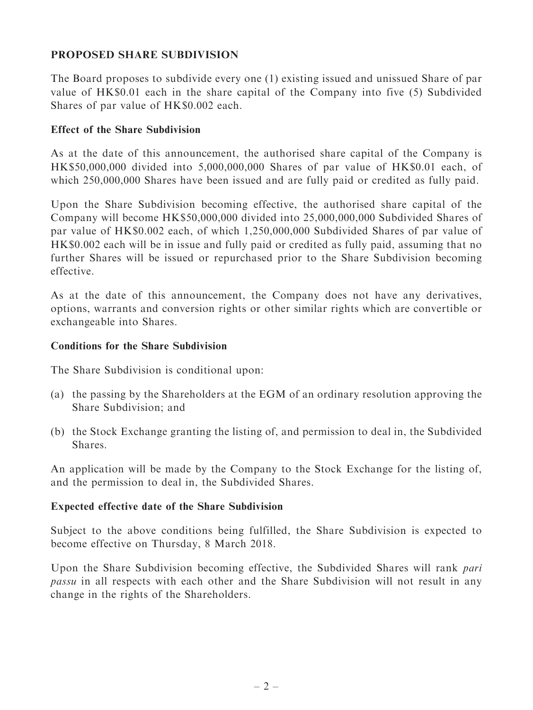# PROPOSED SHARE SUBDIVISION

The Board proposes to subdivide every one (1) existing issued and unissued Share of par value of HK\$0.01 each in the share capital of the Company into five (5) Subdivided Shares of par value of HK\$0.002 each.

#### Effect of the Share Subdivision

As at the date of this announcement, the authorised share capital of the Company is HK\$50,000,000 divided into 5,000,000,000 Shares of par value of HK\$0.01 each, of which 250,000,000 Shares have been issued and are fully paid or credited as fully paid.

Upon the Share Subdivision becoming effective, the authorised share capital of the Company will become HK\$50,000,000 divided into 25,000,000,000 Subdivided Shares of par value of HK\$0.002 each, of which 1,250,000,000 Subdivided Shares of par value of HK\$0.002 each will be in issue and fully paid or credited as fully paid, assuming that no further Shares will be issued or repurchased prior to the Share Subdivision becoming effective.

As at the date of this announcement, the Company does not have any derivatives, options, warrants and conversion rights or other similar rights which are convertible or exchangeable into Shares.

#### Conditions for the Share Subdivision

The Share Subdivision is conditional upon:

- (a) the passing by the Shareholders at the EGM of an ordinary resolution approving the Share Subdivision; and
- (b) the Stock Exchange granting the listing of, and permission to deal in, the Subdivided Shares.

An application will be made by the Company to the Stock Exchange for the listing of, and the permission to deal in, the Subdivided Shares.

#### Expected effective date of the Share Subdivision

Subject to the above conditions being fulfilled, the Share Subdivision is expected to become effective on Thursday, 8 March 2018.

Upon the Share Subdivision becoming effective, the Subdivided Shares will rank pari passu in all respects with each other and the Share Subdivision will not result in any change in the rights of the Shareholders.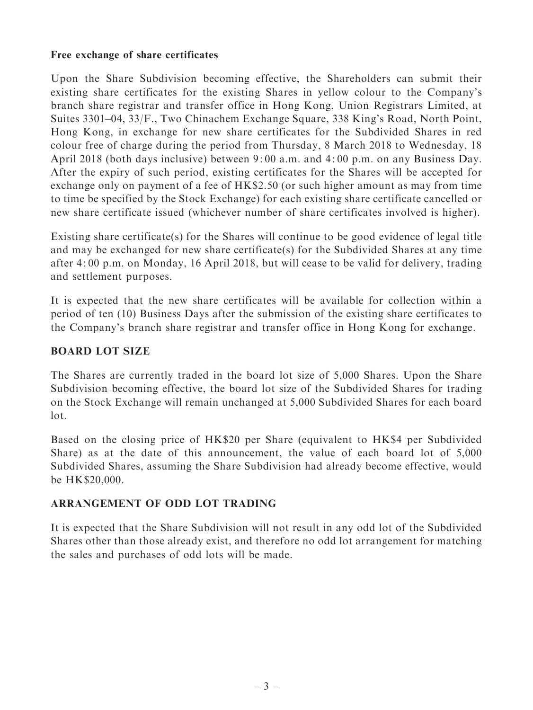#### Free exchange of share certificates

Upon the Share Subdivision becoming effective, the Shareholders can submit their existing share certificates for the existing Shares in yellow colour to the Company's branch share registrar and transfer office in Hong Kong, Union Registrars Limited, at Suites 3301–04, 33/F., Two Chinachem Exchange Square, 338 King's Road, North Point, Hong Kong, in exchange for new share certificates for the Subdivided Shares in red colour free of charge during the period from Thursday, 8 March 2018 to Wednesday, 18 April 2018 (both days inclusive) between 9: 00 a.m. and 4: 00 p.m. on any Business Day. After the expiry of such period, existing certificates for the Shares will be accepted for exchange only on payment of a fee of HK\$2.50 (or such higher amount as may from time to time be specified by the Stock Exchange) for each existing share certificate cancelled or new share certificate issued (whichever number of share certificates involved is higher).

Existing share certificate(s) for the Shares will continue to be good evidence of legal title and may be exchanged for new share certificate(s) for the Subdivided Shares at any time after 4: 00 p.m. on Monday, 16 April 2018, but will cease to be valid for delivery, trading and settlement purposes.

It is expected that the new share certificates will be available for collection within a period of ten (10) Business Days after the submission of the existing share certificates to the Company's branch share registrar and transfer office in Hong Kong for exchange.

# BOARD LOT SIZE

The Shares are currently traded in the board lot size of 5,000 Shares. Upon the Share Subdivision becoming effective, the board lot size of the Subdivided Shares for trading on the Stock Exchange will remain unchanged at 5,000 Subdivided Shares for each board lot.

Based on the closing price of HK\$20 per Share (equivalent to HK\$4 per Subdivided Share) as at the date of this announcement, the value of each board lot of 5,000 Subdivided Shares, assuming the Share Subdivision had already become effective, would be HK\$20,000.

# ARRANGEMENT OF ODD LOT TRADING

It is expected that the Share Subdivision will not result in any odd lot of the Subdivided Shares other than those already exist, and therefore no odd lot arrangement for matching the sales and purchases of odd lots will be made.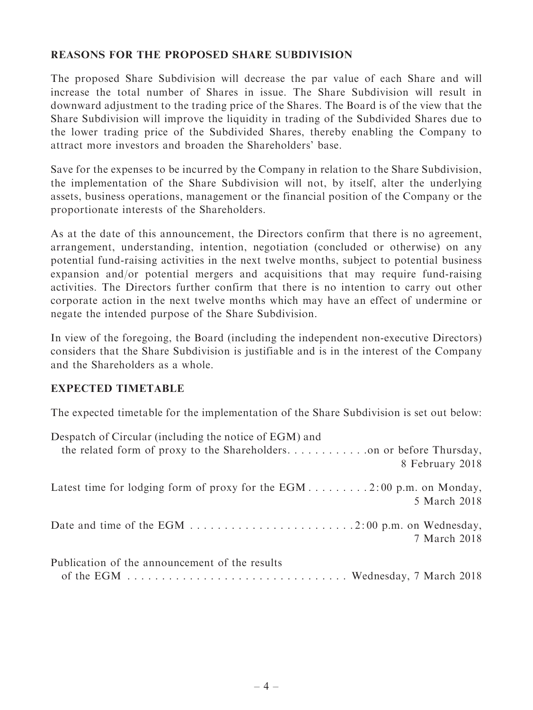# REASONS FOR THE PROPOSED SHARE SUBDIVISION

The proposed Share Subdivision will decrease the par value of each Share and will increase the total number of Shares in issue. The Share Subdivision will result in downward adjustment to the trading price of the Shares. The Board is of the view that the Share Subdivision will improve the liquidity in trading of the Subdivided Shares due to the lower trading price of the Subdivided Shares, thereby enabling the Company to attract more investors and broaden the Shareholders' base.

Save for the expenses to be incurred by the Company in relation to the Share Subdivision, the implementation of the Share Subdivision will not, by itself, alter the underlying assets, business operations, management or the financial position of the Company or the proportionate interests of the Shareholders.

As at the date of this announcement, the Directors confirm that there is no agreement, arrangement, understanding, intention, negotiation (concluded or otherwise) on any potential fund-raising activities in the next twelve months, subject to potential business expansion and/or potential mergers and acquisitions that may require fund-raising activities. The Directors further confirm that there is no intention to carry out other corporate action in the next twelve months which may have an effect of undermine or negate the intended purpose of the Share Subdivision.

In view of the foregoing, the Board (including the independent non-executive Directors) considers that the Share Subdivision is justifiable and is in the interest of the Company and the Shareholders as a whole.

#### EXPECTED TIMETABLE

The expected timetable for the implementation of the Share Subdivision is set out below:

| Despatch of Circular (including the notice of EGM) and                |
|-----------------------------------------------------------------------|
|                                                                       |
| 8 February 2018                                                       |
| Latest time for lodging form of proxy for the EGM2:00 p.m. on Monday, |
| 5 March 2018                                                          |
|                                                                       |
| 7 March 2018                                                          |
| Publication of the announcement of the results                        |
|                                                                       |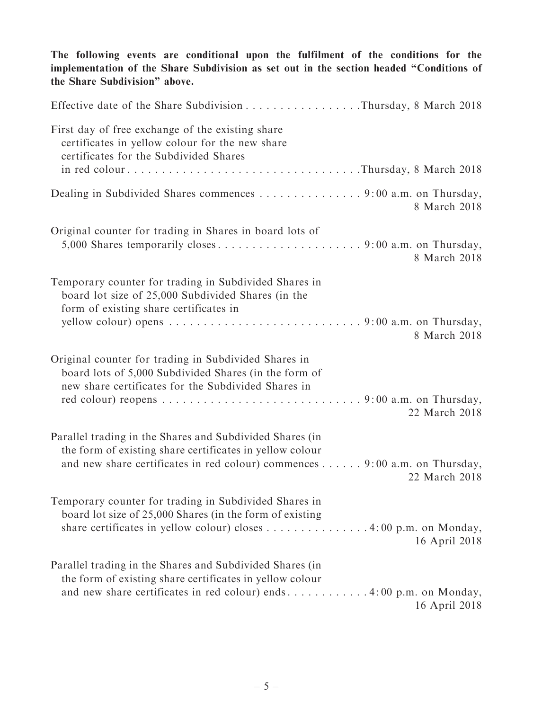The following events are conditional upon the fulfilment of the conditions for the implementation of the Share Subdivision as set out in the section headed ''Conditions of the Share Subdivision'' above. Effective date of the Share Subdivision . . . . . . . . . . . . . . . . .Thursday, 8 March 2018 First day of free exchange of the existing share certificates in yellow colour for the new share certificates for the Subdivided Shares in red colour . . . . . . . . . . . . . . . . . . . . . . . . . . . . . . . . . .Thursday, 8 March 2018 Dealing in Subdivided Shares commences . . . . . . . . . . . . . . 9:00 a.m. on Thursday, 8 March 2018 Original counter for trading in Shares in board lots of 5,000 Shares temporarily closes . . . . . . . . . . . . . . . . . . . . . 9: 00 a.m. on Thursday, 8 March 2018 Temporary counter for trading in Subdivided Shares in board lot size of 25,000 Subdivided Shares (in the form of existing share certificates in yellow colour) opens . . . . . . . . . . . . . . . . . . . . . . . . . . . . 9: 00 a.m. on Thursday, 8 March 2018 Original counter for trading in Subdivided Shares in board lots of 5,000 Subdivided Shares (in the form of new share certificates for the Subdivided Shares in red colour) reopens . . . . . . . . . . . . . . . . . . . . . . . . . . . . . 9: 00 a.m. on Thursday, 22 March 2018 Parallel trading in the Shares and Subdivided Shares (in the form of existing share certificates in yellow colour and new share certificates in red colour) commences . . . . . . 9: 00 a.m. on Thursday, 22 March 2018 Temporary counter for trading in Subdivided Shares in board lot size of 25,000 Shares (in the form of existing share certificates in yellow colour) closes . . . . . . . . . . . . . . . 4:00 p.m. on Monday, 16 April 2018 Parallel trading in the Shares and Subdivided Shares (in the form of existing share certificates in yellow colour and new share certificates in red colour) ends . . . . . . . . . . . . 4: 00 p.m. on Monday, 16 April 2018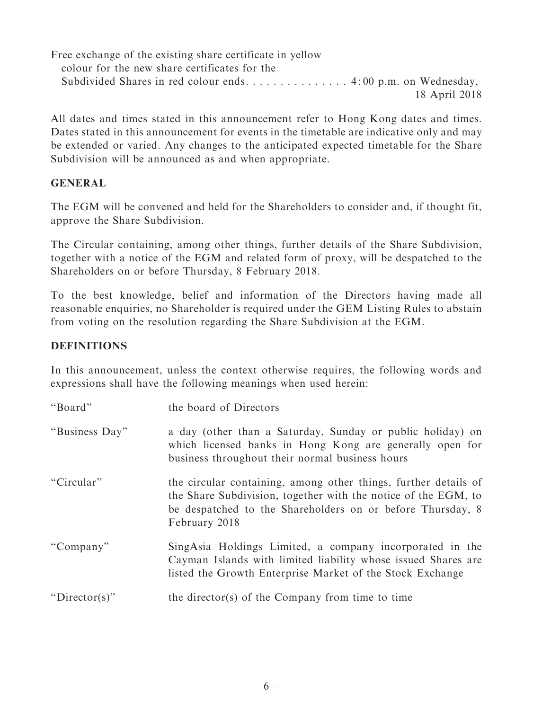Free exchange of the existing share certificate in yellow colour for the new share certificates for the Subdivided Shares in red colour ends. . . . . . . . . . . . . . 4:00 p.m. on Wednesday, 18 April 2018

All dates and times stated in this announcement refer to Hong Kong dates and times. Dates stated in this announcement for events in the timetable are indicative only and may be extended or varied. Any changes to the anticipated expected timetable for the Share Subdivision will be announced as and when appropriate.

## GENERAL

The EGM will be convened and held for the Shareholders to consider and, if thought fit, approve the Share Subdivision.

The Circular containing, among other things, further details of the Share Subdivision, together with a notice of the EGM and related form of proxy, will be despatched to the Shareholders on or before Thursday, 8 February 2018.

To the best knowledge, belief and information of the Directors having made all reasonable enquiries, no Shareholder is required under the GEM Listing Rules to abstain from voting on the resolution regarding the Share Subdivision at the EGM.

## **DEFINITIONS**

In this announcement, unless the context otherwise requires, the following words and expressions shall have the following meanings when used herein:

| "Board"        | the board of Directors                                                                                                                                                                                           |
|----------------|------------------------------------------------------------------------------------------------------------------------------------------------------------------------------------------------------------------|
| "Business Day" | a day (other than a Saturday, Sunday or public holiday) on<br>which licensed banks in Hong Kong are generally open for<br>business throughout their normal business hours                                        |
| "Circular"     | the circular containing, among other things, further details of<br>the Share Subdivision, together with the notice of the EGM, to<br>be despatched to the Shareholders on or before Thursday, 8<br>February 2018 |
| "Company"      | SingAsia Holdings Limited, a company incorporated in the<br>Cayman Islands with limited liability whose issued Shares are<br>listed the Growth Enterprise Market of the Stock Exchange                           |
| "Director(s)"  | the director(s) of the Company from time to time                                                                                                                                                                 |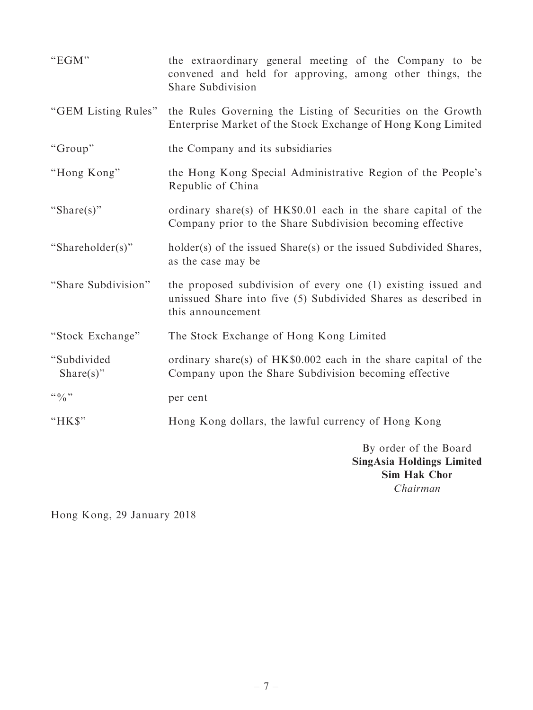| "EGM"                           | the extraordinary general meeting of the Company to be<br>convened and held for approving, among other things, the<br>Share Subdivision              |
|---------------------------------|------------------------------------------------------------------------------------------------------------------------------------------------------|
| "GEM Listing Rules"             | the Rules Governing the Listing of Securities on the Growth<br>Enterprise Market of the Stock Exchange of Hong Kong Limited                          |
| "Group"                         | the Company and its subsidiaries                                                                                                                     |
| "Hong Kong"                     | the Hong Kong Special Administrative Region of the People's<br>Republic of China                                                                     |
| "Share(s)"                      | ordinary share(s) of HK\$0.01 each in the share capital of the<br>Company prior to the Share Subdivision becoming effective                          |
| "Shareholder(s)"                | holder(s) of the issued Share(s) or the issued Subdivided Shares,<br>as the case may be                                                              |
| "Share Subdivision"             | the proposed subdivision of every one (1) existing issued and<br>unissued Share into five (5) Subdivided Shares as described in<br>this announcement |
| "Stock Exchange"                | The Stock Exchange of Hong Kong Limited                                                                                                              |
| "Subdivided<br>Share $(s)$ "    | ordinary share(s) of HK\$0.002 each in the share capital of the<br>Company upon the Share Subdivision becoming effective                             |
| $\lq\lq 0$ , $\lq\lq 0$ , $\lq$ | per cent                                                                                                                                             |
| "HK\$"                          | Hong Kong dollars, the lawful currency of Hong Kong                                                                                                  |
|                                 | By order of the Board<br><b>SingAsia Holdings Limited</b><br><b>Sim Hak Chor</b><br>Chairman                                                         |

Hong Kong, 29 January 2018